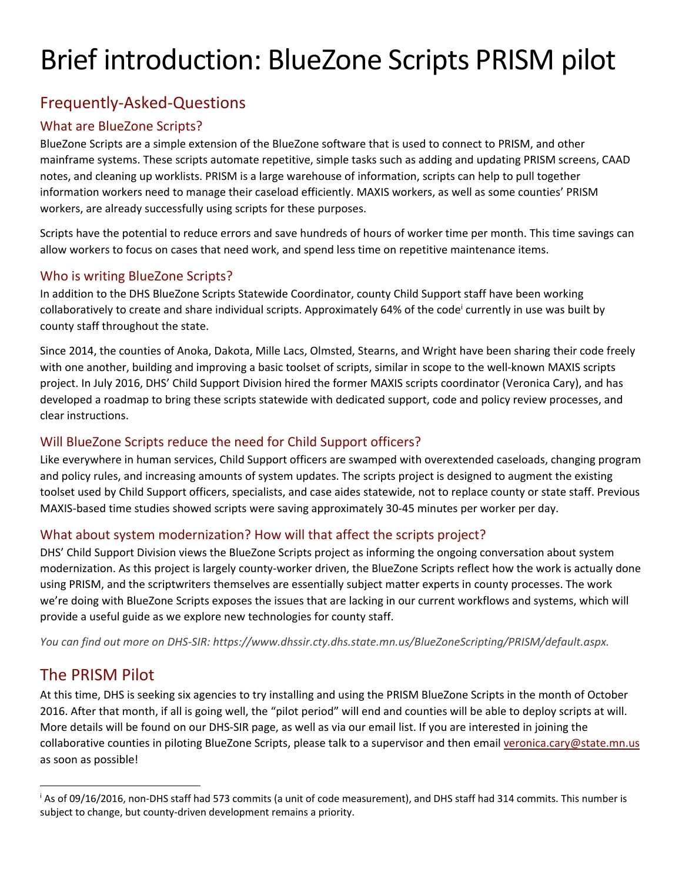# Brief introduction: BlueZone Scripts PRISM pilot

### Frequently‐Asked‐Questions

#### What are BlueZone Scripts?

BlueZone Scripts are a simple extension of the BlueZone software that is used to connect to PRISM, and other mainframe systems. These scripts automate repetitive, simple tasks such as adding and updating PRISM screens, CAAD notes, and cleaning up worklists. PRISM is a large warehouse of information, scripts can help to pull together information workers need to manage their caseload efficiently. MAXIS workers, as well as some counties' PRISM workers, are already successfully using scripts for these purposes.

Scripts have the potential to reduce errors and save hundreds of hours of worker time per month. This time savings can allow workers to focus on cases that need work, and spend less time on repetitive maintenance items.

#### Who is writing BlueZone Scripts?

In addition to the DHS BlueZone Scripts Statewide Coordinator, county Child Support staff have been working collaboratively to create and share individual scripts. Approximately 64% of the code currently in use was built by county staff throughout the state.

Since 2014, the counties of Anoka, Dakota, Mille Lacs, Olmsted, Stearns, and Wright have been sharing their code freely with one another, building and improving a basic toolset of scripts, similar in scope to the well-known MAXIS scripts project. In July 2016, DHS' Child Support Division hired the former MAXIS scripts coordinator (Veronica Cary), and has developed a roadmap to bring these scripts statewide with dedicated support, code and policy review processes, and clear instructions.

#### Will BlueZone Scripts reduce the need for Child Support officers?

Like everywhere in human services, Child Support officers are swamped with overextended caseloads, changing program and policy rules, and increasing amounts of system updates. The scripts project is designed to augment the existing toolset used by Child Support officers, specialists, and case aides statewide, not to replace county or state staff. Previous MAXIS‐based time studies showed scripts were saving approximately 30‐45 minutes per worker per day.

#### What about system modernization? How will that affect the scripts project?

DHS' Child Support Division views the BlueZone Scripts project as informing the ongoing conversation about system modernization. As this project is largely county-worker driven, the BlueZone Scripts reflect how the work is actually done using PRISM, and the scriptwriters themselves are essentially subject matter experts in county processes. The work we're doing with BlueZone Scripts exposes the issues that are lacking in our current workflows and systems, which will provide a useful guide as we explore new technologies for county staff.

*You can find out more on DHS‐SIR: https://www.dhssir.cty.dhs.state.mn.us/BlueZoneScripting/PRISM/default.aspx.* 

#### The PRISM Pilot

At this time, DHS is seeking six agencies to try installing and using the PRISM BlueZone Scripts in the month of October 2016. After that month, if all is going well, the "pilot period" will end and counties will be able to deploy scripts at will. More details will be found on our DHS‐SIR page, as well as via our email list. If you are interested in joining the collaborative counties in piloting BlueZone Scripts, please talk to a supervisor and then email veronica.cary@state.mn.us as soon as possible!

<sup>i</sup> As of 09/16/2016, non‐DHS staff had 573 commits (a unit of code measurement), and DHS staff had 314 commits. This number is subject to change, but county-driven development remains a priority.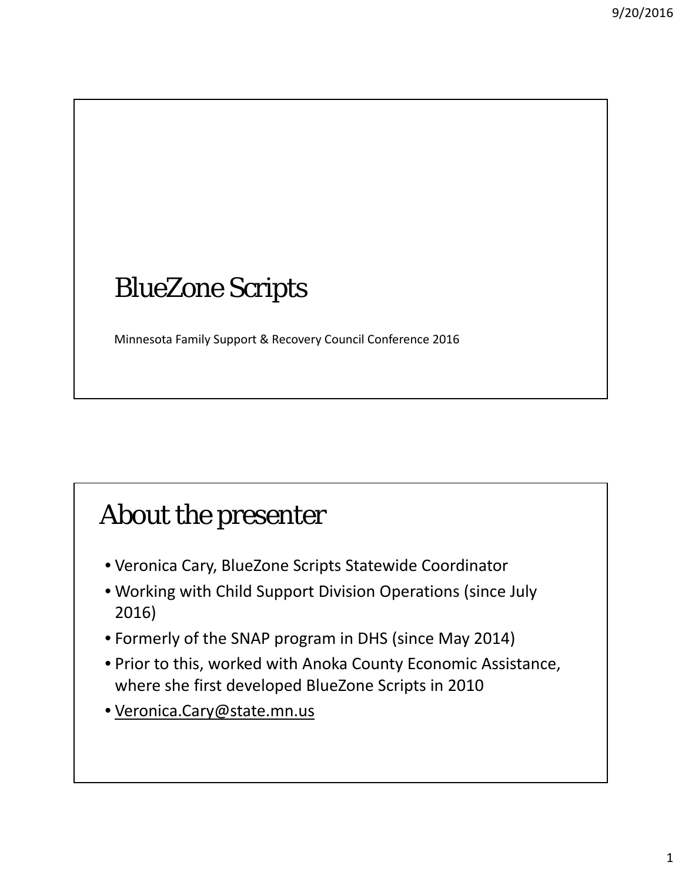# BlueZone Scripts

Minnesota Family Support & Recovery Council Conference 2016

## About the presenter

- Veronica Cary, BlueZone Scripts Statewide Coordinator
- Working with Child Support Division Operations (since July 2016)
- Formerly of the SNAP program in DHS (since May 2014)
- Prior to this, worked with Anoka County Economic Assistance, where she first developed BlueZone Scripts in 2010
- Veronica.Cary@state.mn.us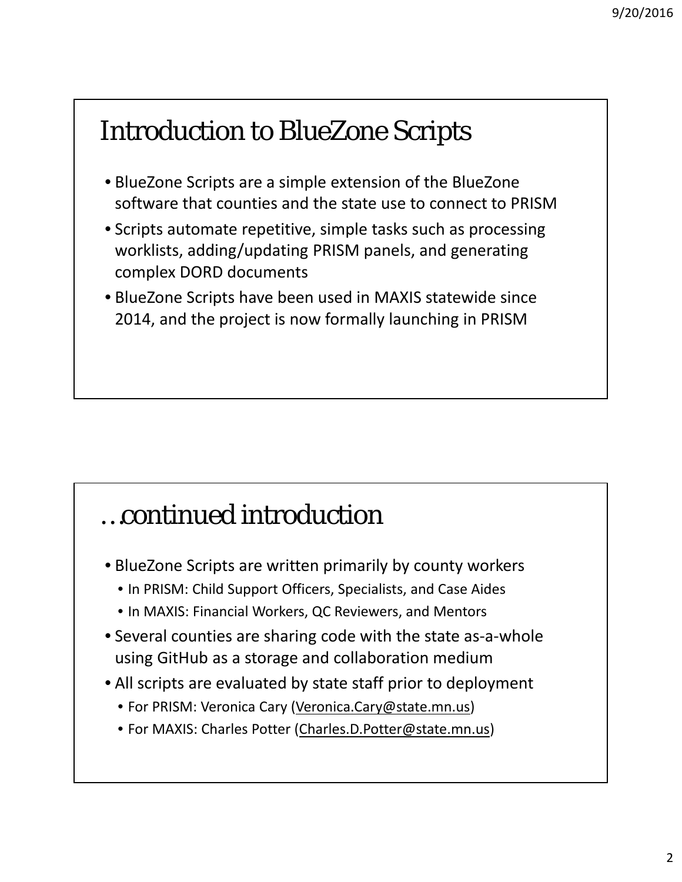## Introduction to BlueZone Scripts

- BlueZone Scripts are a simple extension of the BlueZone software that counties and the state use to connect to PRISM
- Scripts automate repetitive, simple tasks such as processing worklists, adding/updating PRISM panels, and generating complex DORD documents
- BlueZone Scripts have been used in MAXIS statewide since 2014, and the project is now formally launching in PRISM

## …continued introduction

- BlueZone Scripts are written primarily by county workers
	- In PRISM: Child Support Officers, Specialists, and Case Aides
	- In MAXIS: Financial Workers, QC Reviewers, and Mentors
- Several counties are sharing code with the state as-a-whole using GitHub as a storage and collaboration medium
- All scripts are evaluated by state staff prior to deployment
	- For PRISM: Veronica Cary (Veronica.Cary@state.mn.us)
	- For MAXIS: Charles Potter (Charles.D.Potter@state.mn.us)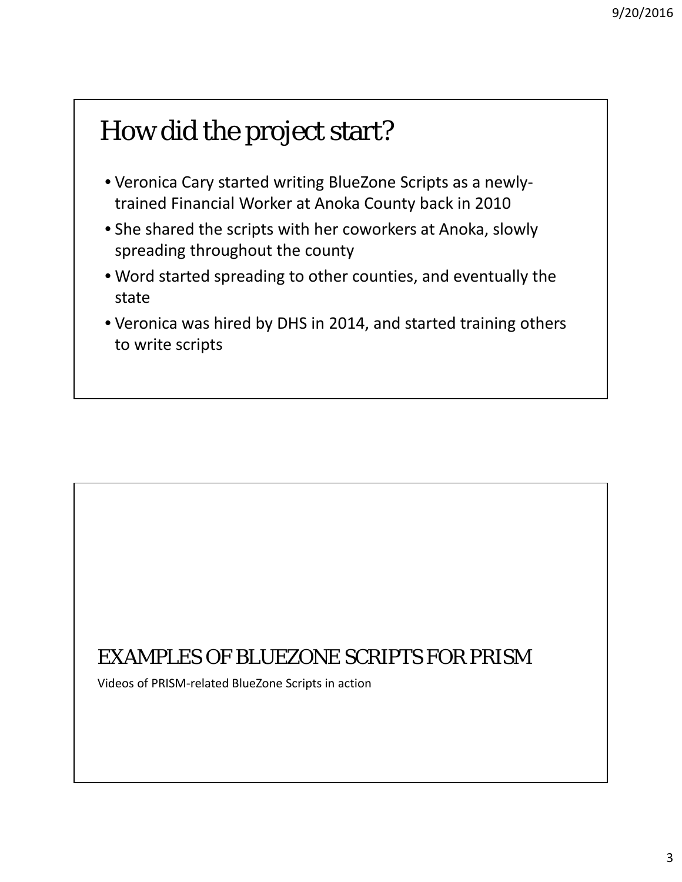## How did the project start?

- Veronica Cary started writing BlueZone Scripts as a newly‐ trained Financial Worker at Anoka County back in 2010
- She shared the scripts with her coworkers at Anoka, slowly spreading throughout the county
- Word started spreading to other counties, and eventually the state
- Veronica was hired by DHS in 2014, and started training others to write scripts

### EXAMPLES OF BLUEZONE SCRIPTS FOR PRISM

Videos of PRISM‐related BlueZone Scripts in action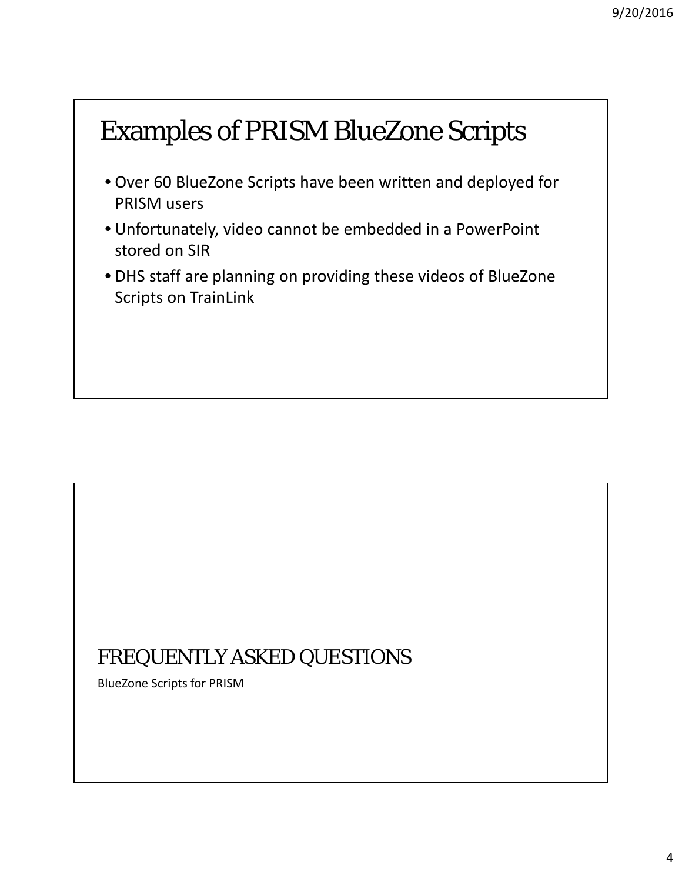# Examples of PRISM BlueZone Scripts

- Over 60 BlueZone Scripts have been written and deployed for PRISM users
- Unfortunately, video cannot be embedded in a PowerPoint stored on SIR
- DHS staff are planning on providing these videos of BlueZone Scripts on TrainLink

### FREQUENTLY ASKED QUESTIONS

BlueZone Scripts for PRISM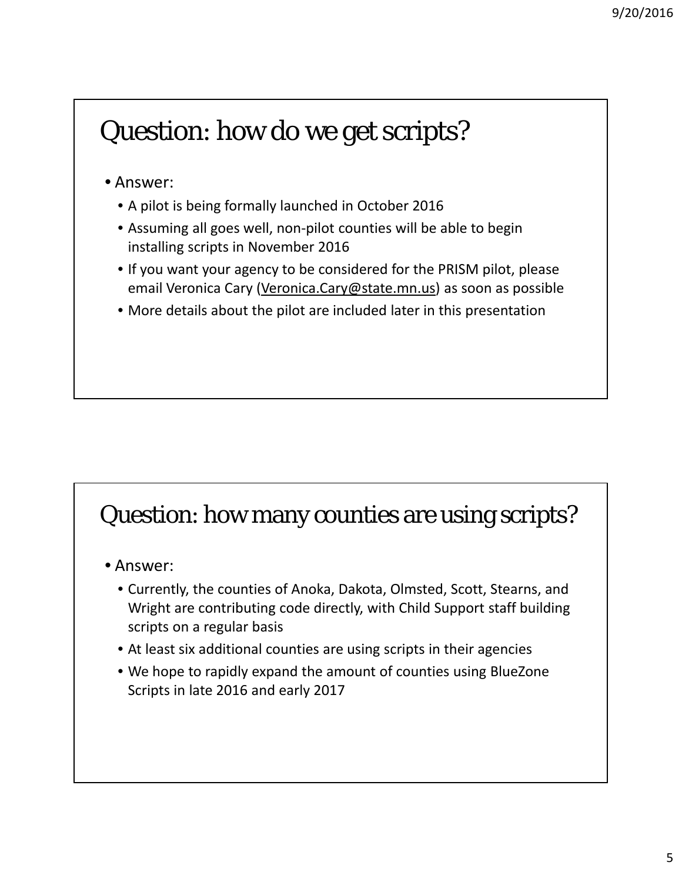## Question: how do we get scripts?

#### • Answer:

- A pilot is being formally launched in October 2016
- Assuming all goes well, non‐pilot counties will be able to begin installing scripts in November 2016
- If you want your agency to be considered for the PRISM pilot, please email Veronica Cary (Veronica.Cary@state.mn.us) as soon as possible
- More details about the pilot are included later in this presentation

### Question: how many counties are using scripts?

- Answer:
	- Currently, the counties of Anoka, Dakota, Olmsted, Scott, Stearns, and Wright are contributing code directly, with Child Support staff building scripts on a regular basis
	- At least six additional counties are using scripts in their agencies
	- We hope to rapidly expand the amount of counties using BlueZone Scripts in late 2016 and early 2017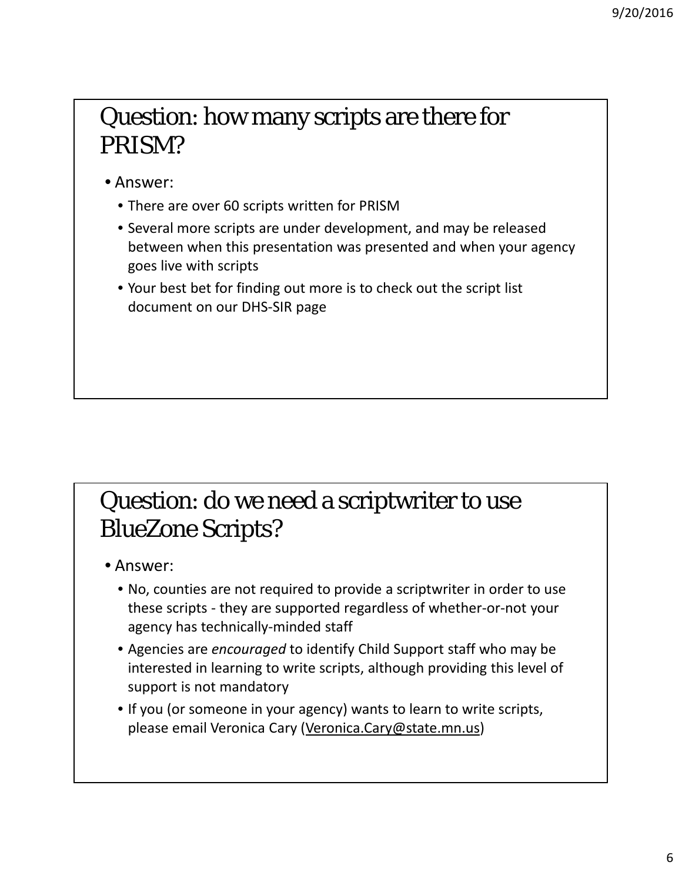## Question: how many scripts are there for PRISM?

• Answer:

- There are over 60 scripts written for PRISM
- Several more scripts are under development, and may be released between when this presentation was presented and when your agency goes live with scripts
- Your best bet for finding out more is to check out the script list document on our DHS‐SIR page

## Question: do we need a scriptwriter to use BlueZone Scripts?

• Answer:

- No, counties are not required to provide a scriptwriter in order to use these scripts ‐ they are supported regardless of whether‐or‐not your agency has technically‐minded staff
- Agencies are *encouraged* to identify Child Support staff who may be interested in learning to write scripts, although providing this level of support is not mandatory
- If you (or someone in your agency) wants to learn to write scripts, please email Veronica Cary (Veronica.Cary@state.mn.us)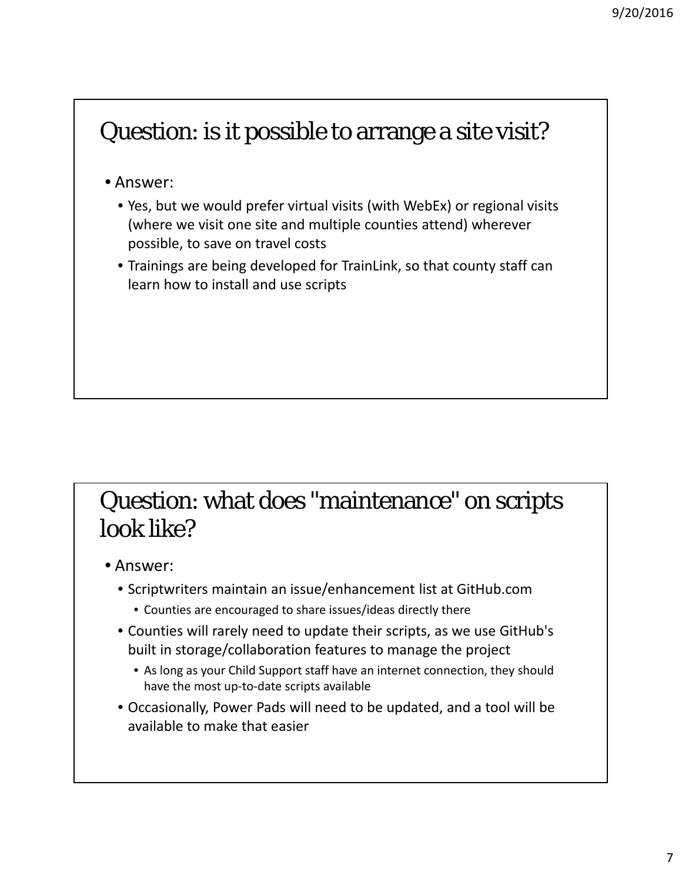## Question: is it possible to arrange a site visit?

#### • Answer:

- Yes, but we would prefer virtual visits (with WebEx) or regional visits (where we visit one site and multiple counties attend) wherever possible, to save on travel costs
- Trainings are being developed for TrainLink, so that county staff can learn how to install and use scripts

### Question: what does "maintenance" on scripts look like?

- Answer:
	- Scriptwriters maintain an issue/enhancement list at GitHub.com
		- Counties are encouraged to share issues/ideas directly there
	- Counties will rarely need to update their scripts, as we use GitHub's built in storage/collaboration features to manage the project
		- As long as your Child Support staff have an internet connection, they should have the most up‐to‐date scripts available
	- Occasionally, Power Pads will need to be updated, and a tool will be available to make that easier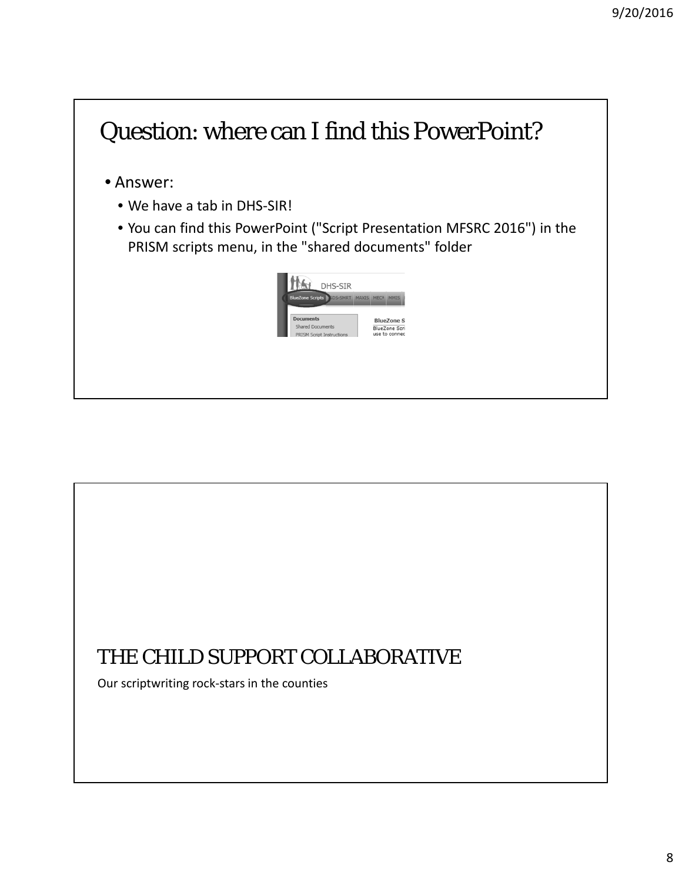## Question: where can I find this PowerPoint?

• Answer:

- We have a tab in DHS-SIR!
- You can find this PowerPoint ("Script Presentation MFSRC 2016") in the PRISM scripts menu, in the "shared documents" folder

| DHS-SIR                                   |              |                  |                   |
|-------------------------------------------|--------------|------------------|-------------------|
| <b>BlueZone Scripts</b><br><b>DS-SMRT</b> | <b>MAXIS</b> | MEC <sup>2</sup> |                   |
|                                           |              |                  |                   |
| <b>Documents</b>                          |              |                  | <b>BlueZone S</b> |

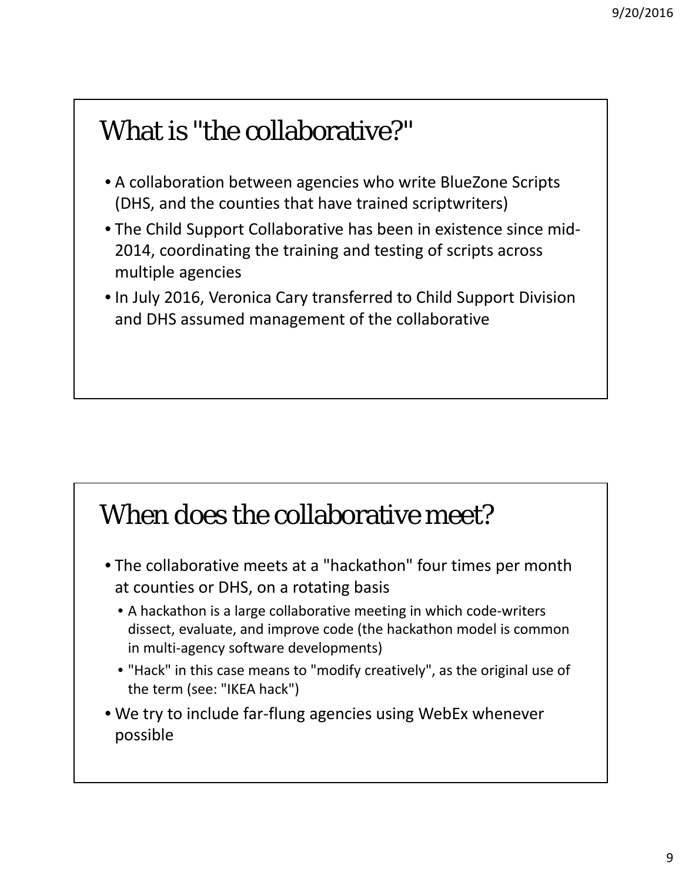## What is "the collaborative?"

- A collaboration between agencies who write BlueZone Scripts (DHS, and the counties that have trained scriptwriters)
- The Child Support Collaborative has been in existence since mid‐ 2014, coordinating the training and testing of scripts across multiple agencies
- In July 2016, Veronica Cary transferred to Child Support Division and DHS assumed management of the collaborative

## When does the collaborative meet?

- The collaborative meets at a "hackathon" four times per month at counties or DHS, on a rotating basis
	- A hackathon is a large collaborative meeting in which code-writers dissect, evaluate, and improve code (the hackathon model is common in multi-agency software developments)
	- "Hack" in this case means to "modify creatively", as the original use of the term (see: "IKEA hack")
- We try to include far‐flung agencies using WebEx whenever possible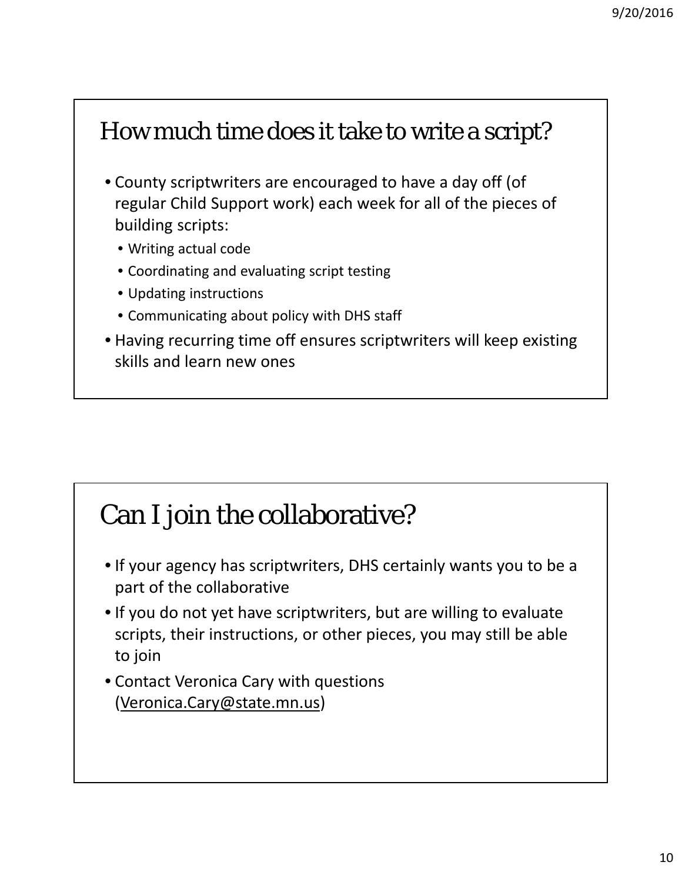## How much time does it take to write a script?

- County scriptwriters are encouraged to have a day off (of regular Child Support work) each week for all of the pieces of building scripts:
	- Writing actual code
	- Coordinating and evaluating script testing
	- Updating instructions
	- Communicating about policy with DHS staff
- Having recurring time off ensures scriptwriters will keep existing skills and learn new ones

## Can I join the collaborative?

- If your agency has scriptwriters, DHS certainly wants you to be a part of the collaborative
- If you do not yet have scriptwriters, but are willing to evaluate scripts, their instructions, or other pieces, you may still be able to join
- Contact Veronica Cary with questions (Veronica.Cary@state.mn.us)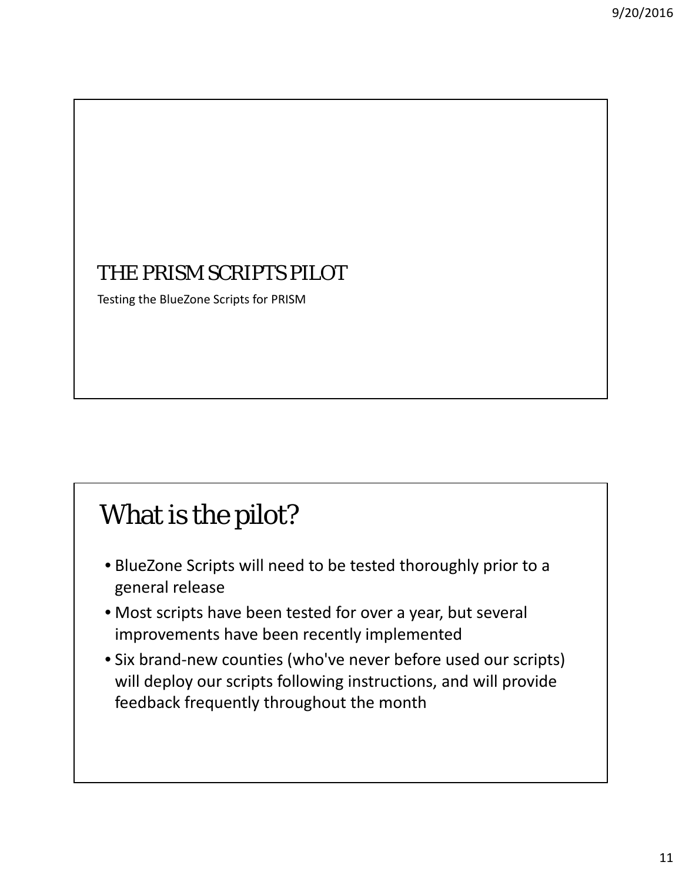### THE PRISM SCRIPTS PILOT

Testing the BlueZone Scripts for PRISM

# What is the pilot?

- BlueZone Scripts will need to be tested thoroughly prior to a general release
- Most scripts have been tested for over a year, but several improvements have been recently implemented
- Six brand‐new counties (who've never before used our scripts) will deploy our scripts following instructions, and will provide feedback frequently throughout the month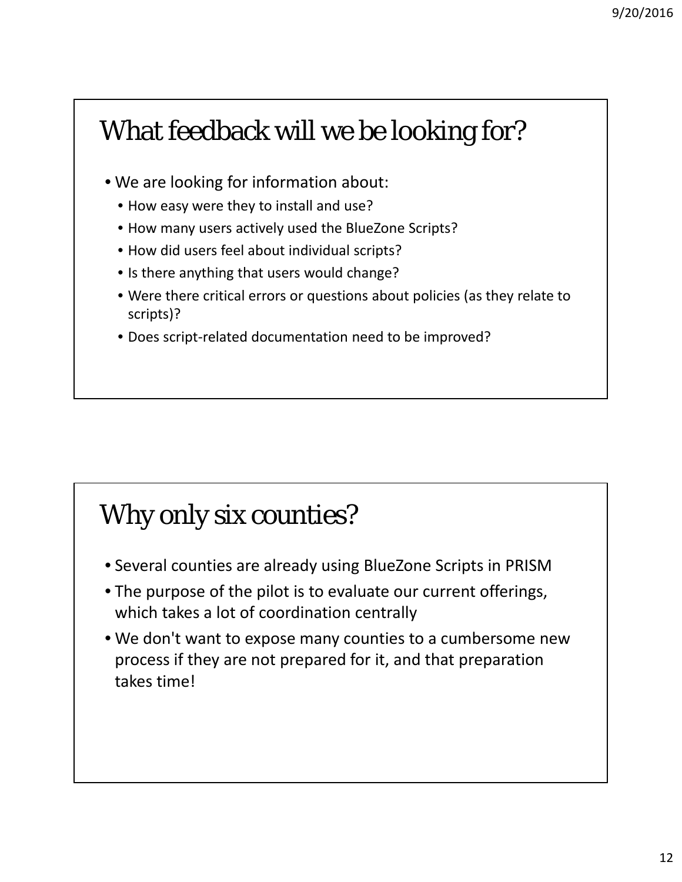## What feedback will we be looking for?

- We are looking for information about:
	- How easy were they to install and use?
	- How many users actively used the BlueZone Scripts?
	- How did users feel about individual scripts?
	- Is there anything that users would change?
	- Were there critical errors or questions about policies (as they relate to scripts)?
	- Does script‐related documentation need to be improved?

## Why only six counties?

- Several counties are already using BlueZone Scripts in PRISM
- The purpose of the pilot is to evaluate our current offerings, which takes a lot of coordination centrally
- We don't want to expose many counties to a cumbersome new process if they are not prepared for it, and that preparation takes time!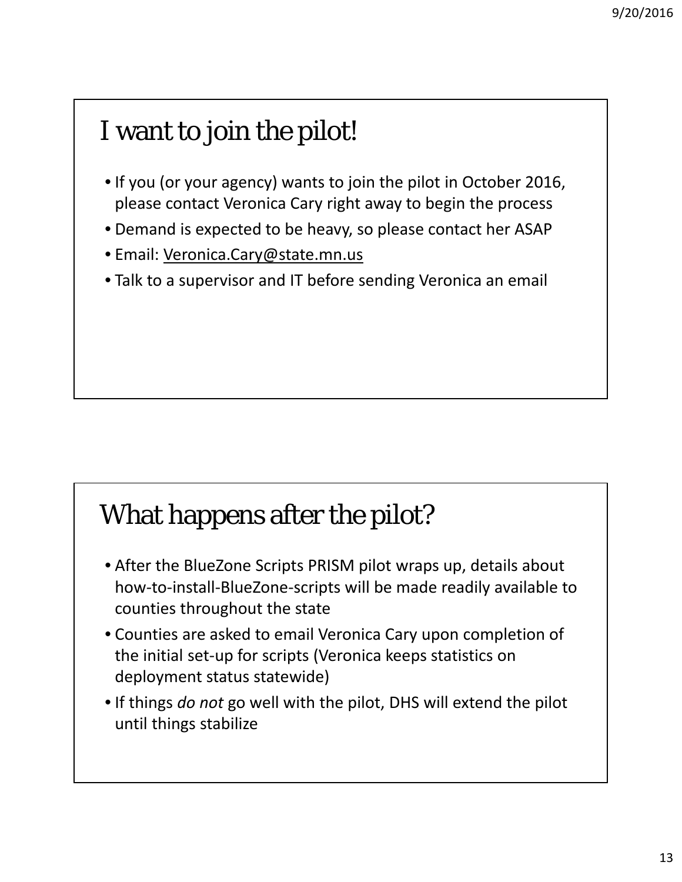# I want to join the pilot!

- If you (or your agency) wants to join the pilot in October 2016, please contact Veronica Cary right away to begin the process
- Demand is expected to be heavy, so please contact her ASAP
- Email: Veronica.Cary@state.mn.us
- Talk to a supervisor and IT before sending Veronica an email

## What happens after the pilot?

- After the BlueZone Scripts PRISM pilot wraps up, details about how-to-install-BlueZone-scripts will be made readily available to counties throughout the state
- Counties are asked to email Veronica Cary upon completion of the initial set‐up for scripts (Veronica keeps statistics on deployment status statewide)
- If things *do not* go well with the pilot, DHS will extend the pilot until things stabilize